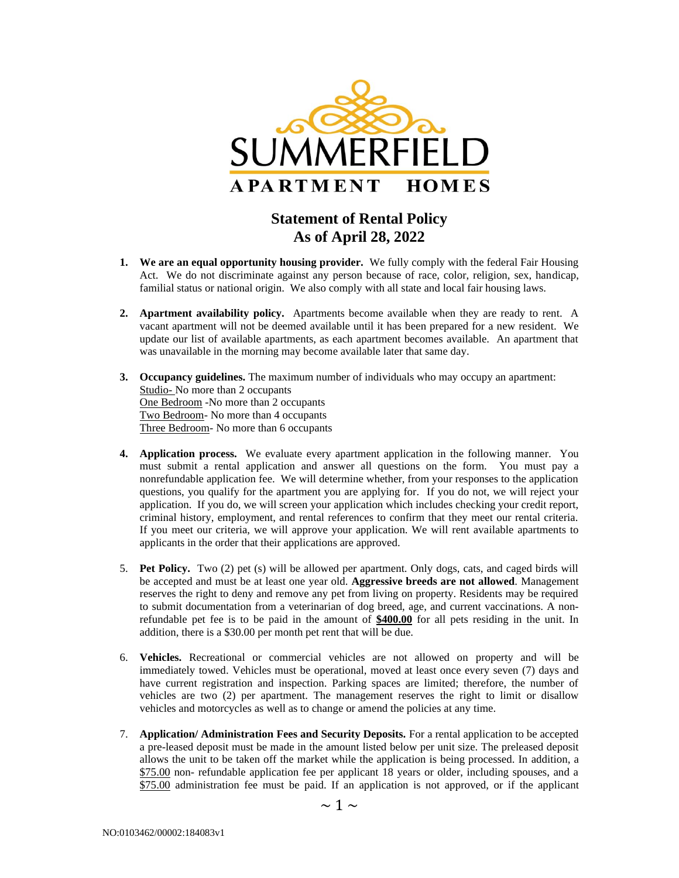

## **Statement of Rental Policy As of April 28, 2022**

- **1. We are an equal opportunity housing provider.** We fully comply with the federal Fair Housing Act. We do not discriminate against any person because of race, color, religion, sex, handicap, familial status or national origin. We also comply with all state and local fair housing laws.
- **2. Apartment availability policy.** Apartments become available when they are ready to rent. A vacant apartment will not be deemed available until it has been prepared for a new resident. We update our list of available apartments, as each apartment becomes available. An apartment that was unavailable in the morning may become available later that same day.
- **3. Occupancy guidelines.** The maximum number of individuals who may occupy an apartment: Studio- No more than 2 occupants One Bedroom -No more than 2 occupants Two Bedroom- No more than 4 occupants Three Bedroom- No more than 6 occupants
- **4. Application process.** We evaluate every apartment application in the following manner. You must submit a rental application and answer all questions on the form. You must pay a nonrefundable application fee. We will determine whether, from your responses to the application questions, you qualify for the apartment you are applying for. If you do not, we will reject your application. If you do, we will screen your application which includes checking your credit report, criminal history, employment, and rental references to confirm that they meet our rental criteria. If you meet our criteria, we will approve your application. We will rent available apartments to applicants in the order that their applications are approved.
- 5. **Pet Policy.** Two (2) pet (s) will be allowed per apartment. Only dogs, cats, and caged birds will be accepted and must be at least one year old. **Aggressive breeds are not allowed**. Management reserves the right to deny and remove any pet from living on property. Residents may be required to submit documentation from a veterinarian of dog breed, age, and current vaccinations. A nonrefundable pet fee is to be paid in the amount of **\$400.00** for all pets residing in the unit. In addition, there is a \$30.00 per month pet rent that will be due.
- 6. **Vehicles.** Recreational or commercial vehicles are not allowed on property and will be immediately towed. Vehicles must be operational, moved at least once every seven (7) days and have current registration and inspection. Parking spaces are limited; therefore, the number of vehicles are two (2) per apartment. The management reserves the right to limit or disallow vehicles and motorcycles as well as to change or amend the policies at any time.
- 7. **Application/ Administration Fees and Security Deposits.** For a rental application to be accepted a pre-leased deposit must be made in the amount listed below per unit size. The preleased deposit allows the unit to be taken off the market while the application is being processed. In addition, a \$75.00 non- refundable application fee per applicant 18 years or older, including spouses, and a \$75.00 administration fee must be paid. If an application is not approved, or if the applicant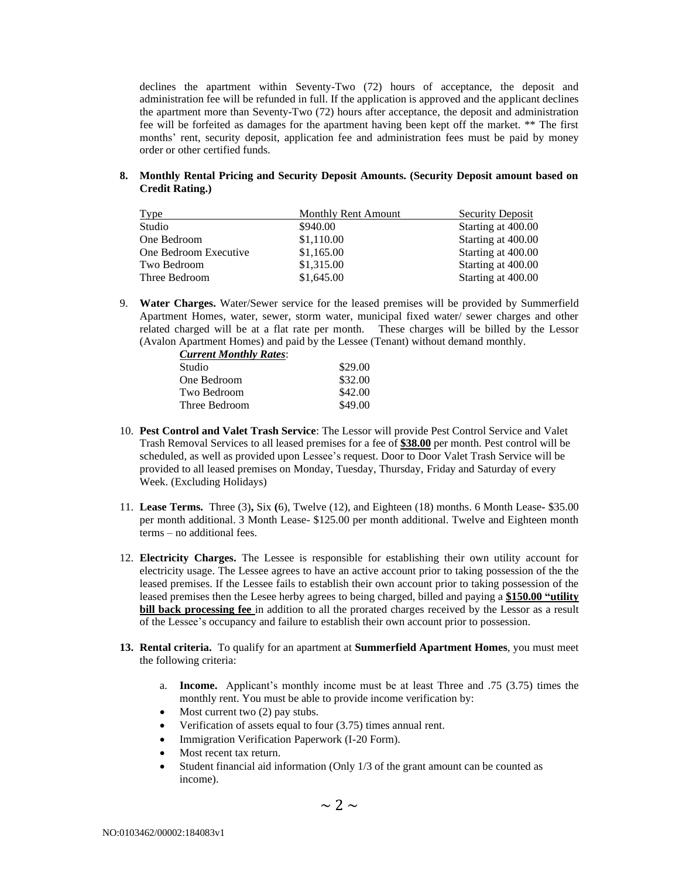declines the apartment within Seventy-Two (72) hours of acceptance, the deposit and administration fee will be refunded in full. If the application is approved and the applicant declines the apartment more than Seventy-Two (72) hours after acceptance, the deposit and administration fee will be forfeited as damages for the apartment having been kept off the market. \*\* The first months' rent, security deposit, application fee and administration fees must be paid by money order or other certified funds.

**8. Monthly Rental Pricing and Security Deposit Amounts. (Security Deposit amount based on Credit Rating.)**

| <b>Type</b>           | <b>Monthly Rent Amount</b> | Security Deposit   |
|-----------------------|----------------------------|--------------------|
| Studio                | \$940.00                   | Starting at 400.00 |
| One Bedroom           | \$1,110.00                 | Starting at 400.00 |
| One Bedroom Executive | \$1,165.00                 | Starting at 400.00 |
| Two Bedroom           | \$1,315.00                 | Starting at 400.00 |
| Three Bedroom         | \$1,645.00                 | Starting at 400.00 |

9. **Water Charges.** Water/Sewer service for the leased premises will be provided by Summerfield Apartment Homes, water, sewer, storm water, municipal fixed water/ sewer charges and other related charged will be at a flat rate per month. These charges will be billed by the Lessor (Avalon Apartment Homes) and paid by the Lessee (Tenant) without demand monthly.

| <b>Current Monthly Rates:</b> |         |
|-------------------------------|---------|
| Studio                        | \$29.00 |
| One Bedroom                   | \$32.00 |
| Two Bedroom                   | \$42.00 |
| Three Bedroom                 | \$49.00 |

- 10. **Pest Control and Valet Trash Service**: The Lessor will provide Pest Control Service and Valet Trash Removal Services to all leased premises for a fee of **\$38.00** per month. Pest control will be scheduled, as well as provided upon Lessee's request. Door to Door Valet Trash Service will be provided to all leased premises on Monday, Tuesday, Thursday, Friday and Saturday of every Week. (Excluding Holidays)
- 11. **Lease Terms.** Three (3)**,** Six **(**6), Twelve (12), and Eighteen (18) months. 6 Month Lease**-** \$35.00 per month additional. 3 Month Lease- \$125.00 per month additional. Twelve and Eighteen month terms – no additional fees.
- 12. **Electricity Charges.** The Lessee is responsible for establishing their own utility account for electricity usage. The Lessee agrees to have an active account prior to taking possession of the the leased premises. If the Lessee fails to establish their own account prior to taking possession of the leased premises then the Lesee herby agrees to being charged, billed and paying a **\$150.00 "utility bill back processing fee** in addition to all the prorated charges received by the Lessor as a result of the Lessee's occupancy and failure to establish their own account prior to possession.
- **13. Rental criteria.** To qualify for an apartment at **Summerfield Apartment Homes**, you must meet the following criteria:
	- a. **Income.** Applicant's monthly income must be at least Three and .75 (3.75) times the monthly rent. You must be able to provide income verification by:
	- Most current two  $(2)$  pay stubs.
	- Verification of assets equal to four (3.75) times annual rent.
	- Immigration Verification Paperwork (I-20 Form).
	- Most recent tax return.
	- Student financial aid information (Only 1/3 of the grant amount can be counted as income).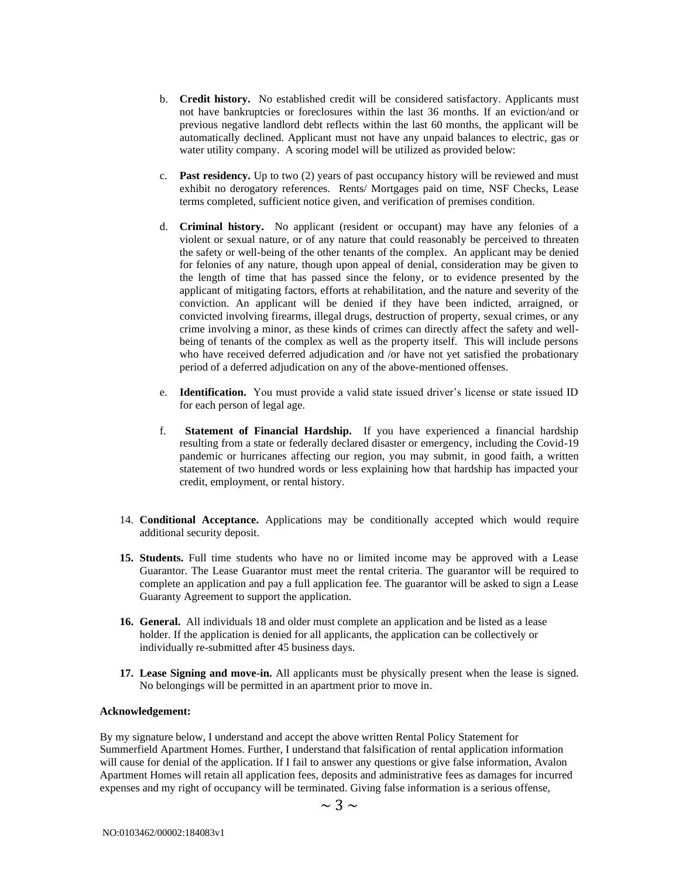- b. **Credit history.** No established credit will be considered satisfactory. Applicants must not have bankruptcies or foreclosures within the last 36 months. If an eviction/and or previous negative landlord debt reflects within the last 60 months, the applicant will be automatically declined. Applicant must not have any unpaid balances to electric, gas or water utility company. A scoring model will be utilized as provided below:
- c. **Past residency.** Up to two (2) years of past occupancy history will be reviewed and must exhibit no derogatory references. Rents/ Mortgages paid on time, NSF Checks, Lease terms completed, sufficient notice given, and verification of premises condition.
- d. **Criminal history.** No applicant (resident or occupant) may have any felonies of a violent or sexual nature, or of any nature that could reasonably be perceived to threaten the safety or well-being of the other tenants of the complex. An applicant may be denied for felonies of any nature, though upon appeal of denial, consideration may be given to the length of time that has passed since the felony, or to evidence presented by the applicant of mitigating factors, efforts at rehabilitation, and the nature and severity of the conviction. An applicant will be denied if they have been indicted, arraigned, or convicted involving firearms, illegal drugs, destruction of property, sexual crimes, or any crime involving a minor, as these kinds of crimes can directly affect the safety and wellbeing of tenants of the complex as well as the property itself. This will include persons who have received deferred adjudication and /or have not yet satisfied the probationary period of a deferred adjudication on any of the above-mentioned offenses.
- e. **Identification.** You must provide a valid state issued driver's license or state issued ID for each person of legal age.
- f. **Statement of Financial Hardship.** If you have experienced a financial hardship resulting from a state or federally declared disaster or emergency, including the Covid-19 pandemic or hurricanes affecting our region, you may submit, in good faith, a written statement of two hundred words or less explaining how that hardship has impacted your credit, employment, or rental history.
- 14. **Conditional Acceptance.** Applications may be conditionally accepted which would require additional security deposit.
- **15. Students.** Full time students who have no or limited income may be approved with a Lease Guarantor. The Lease Guarantor must meet the rental criteria. The guarantor will be required to complete an application and pay a full application fee. The guarantor will be asked to sign a Lease Guaranty Agreement to support the application.
- **16. General.** All individuals 18 and older must complete an application and be listed as a lease holder. If the application is denied for all applicants, the application can be collectively or individually re-submitted after 45 business days.
- **17. Lease Signing and move-in.** All applicants must be physically present when the lease is signed. No belongings will be permitted in an apartment prior to move in.

## **Acknowledgement:**

By my signature below, I understand and accept the above written Rental Policy Statement for Summerfield Apartment Homes. Further, I understand that falsification of rental application information will cause for denial of the application. If I fail to answer any questions or give false information, Avalon Apartment Homes will retain all application fees, deposits and administrative fees as damages for incurred expenses and my right of occupancy will be terminated. Giving false information is a serious offense,